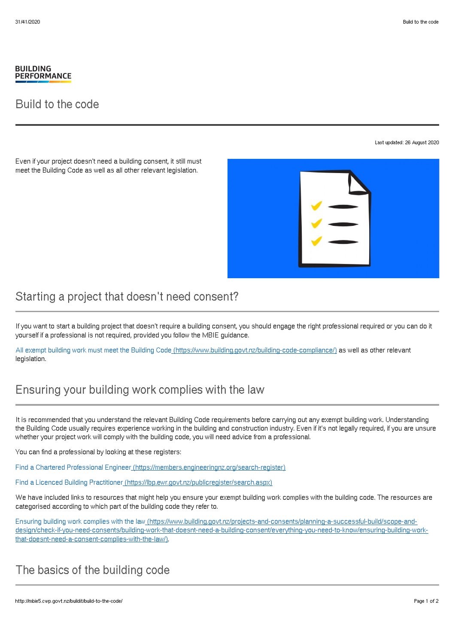#### **BUILDING PERFORMANCE**

#### Build to the code

Last updated: 26 August 2020

Even if your project doesn't need a building consent, it still must meet the Building Code as well as all other relevant legislation.



### Starting a project that doesn't need consent?

If you want to start a building project that doesn't require a building consent, you should engage the right professional required or you can do it yourself if a professional is not required, provided you follow the MBIE guidance.

All exempt building work must meet the Building Code [\(https://www.building.govt.nz/building-code-compliance/\)](http://mbie5.cwp.govt.nz/building-code-compliance/) as well as other relevant legislation.

# Ensuring your building work complies with the law

It is recommended that you understand the relevant Building Code requirements before carrying out any exempt building work. Understanding the Building Code usually requires experience working in the building and construction industry. Even if it's not legally required, if you are unsure whether your project work will comply with the building code, you will need advice from a professional.

You can find a professional by looking at these registers:

Find a Chartered Professional Engineer [\(https://members.engineeringnz.org/search-register\)](https://members.engineeringnz.org/search-register)

Find a Licenced Building Practitioner [\(https://lbp.ewr.govt.nz/publicregister/search.aspx\)](https://lbp.ewr.govt.nz/publicregister/search.aspx)

We have included links to resources that might help you ensure your exempt building work complies with the building code. The resources are categorised according to which part of the building code they refer to.

Ensuring building work complies with the law (https://www.building.govt.nz/projects-and-consents/planning-a-successful-build/scope-and[design/check-if-you-need-consents/building-work-that-doesnt-need-a-building-consent/everything-you-need-to-know/ensuring-building-work](http://mbie5.cwp.govt.nz/projects-and-consents/planning-a-successful-build/scope-and-design/check-if-you-need-consents/building-work-that-doesnt-need-a-building-consent/everything-you-need-to-know/ensuring-building-work-that-doesnt-need-a-consent-complies-with-the-law/)that-doesnt-need-a-consent-complies-with-the-law/).

## The basics of the building code